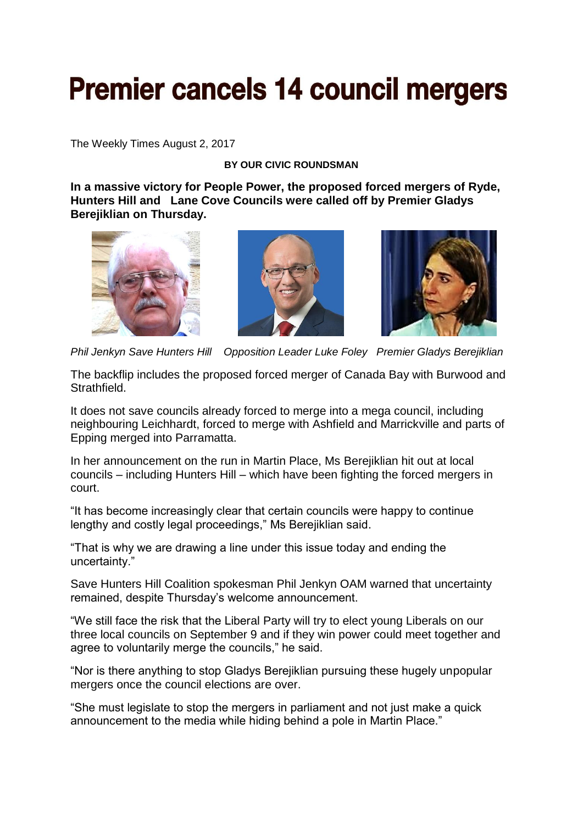## **Premier cancels 14 council mergers**

The Weekly Times August 2, 2017

## **BY OUR CIVIC ROUNDSMAN**

**In a massive victory for People Power, the proposed forced mergers of Ryde, Hunters Hill and Lane Cove Councils were called off by Premier Gladys Berejiklian on Thursday.**







*Phil Jenkyn Save Hunters Hill Opposition Leader Luke Foley Premier Gladys Berejiklian* 

The backflip includes the proposed forced merger of Canada Bay with Burwood and Strathfield.

It does not save councils already forced to merge into a mega council, including neighbouring Leichhardt, forced to merge with Ashfield and Marrickville and parts of Epping merged into Parramatta.

In her announcement on the run in Martin Place, Ms Berejiklian hit out at local councils – including Hunters Hill – which have been fighting the forced mergers in court.

"It has become increasingly clear that certain councils were happy to continue lengthy and costly legal proceedings," Ms Berejiklian said.

"That is why we are drawing a line under this issue today and ending the uncertainty."

Save Hunters Hill Coalition spokesman Phil Jenkyn OAM warned that uncertainty remained, despite Thursday's welcome announcement.

"We still face the risk that the Liberal Party will try to elect young Liberals on our three local councils on September 9 and if they win power could meet together and agree to voluntarily merge the councils," he said.

"Nor is there anything to stop Gladys Berejiklian pursuing these hugely unpopular mergers once the council elections are over.

"She must legislate to stop the mergers in parliament and not just make a quick announcement to the media while hiding behind a pole in Martin Place."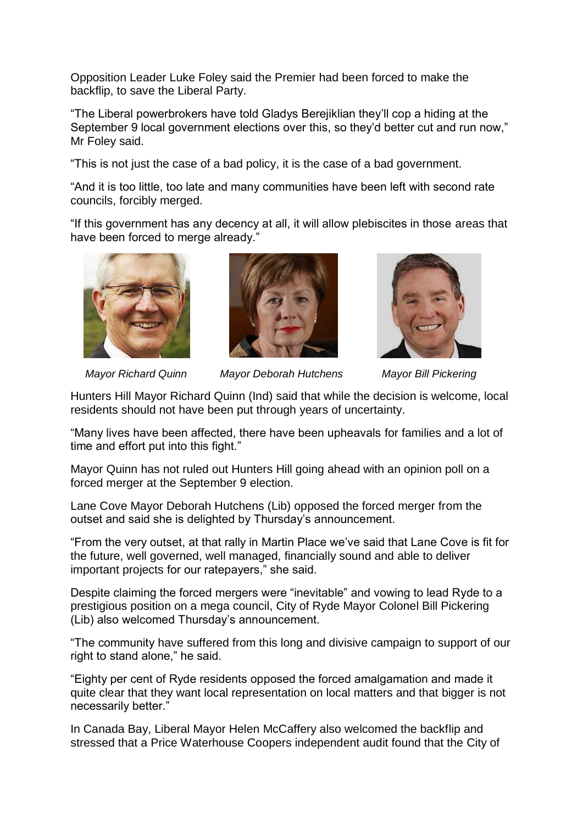Opposition Leader Luke Foley said the Premier had been forced to make the backflip, to save the Liberal Party.

"The Liberal powerbrokers have told Gladys Berejiklian they'll cop a hiding at the September 9 local government elections over this, so they'd better cut and run now," Mr Foley said.

"This is not just the case of a bad policy, it is the case of a bad government.

"And it is too little, too late and many communities have been left with second rate councils, forcibly merged.

"If this government has any decency at all, it will allow plebiscites in those areas that have been forced to merge already."







 *Mayor Richard Quinn Mayor Deborah Hutchens Mayor Bill Pickering*

Hunters Hill Mayor Richard Quinn (Ind) said that while the decision is welcome, local residents should not have been put through years of uncertainty.

"Many lives have been affected, there have been upheavals for families and a lot of time and effort put into this fight."

Mayor Quinn has not ruled out Hunters Hill going ahead with an opinion poll on a forced merger at the September 9 election.

Lane Cove Mayor Deborah Hutchens (Lib) opposed the forced merger from the outset and said she is delighted by Thursday's announcement.

"From the very outset, at that rally in Martin Place we've said that Lane Cove is fit for the future, well governed, well managed, financially sound and able to deliver important projects for our ratepayers," she said.

Despite claiming the forced mergers were "inevitable" and vowing to lead Ryde to a prestigious position on a mega council, City of Ryde Mayor Colonel Bill Pickering (Lib) also welcomed Thursday's announcement.

"The community have suffered from this long and divisive campaign to support of our right to stand alone," he said.

"Eighty per cent of Ryde residents opposed the forced amalgamation and made it quite clear that they want local representation on local matters and that bigger is not necessarily better."

In Canada Bay, Liberal Mayor Helen McCaffery also welcomed the backflip and stressed that a Price Waterhouse Coopers independent audit found that the City of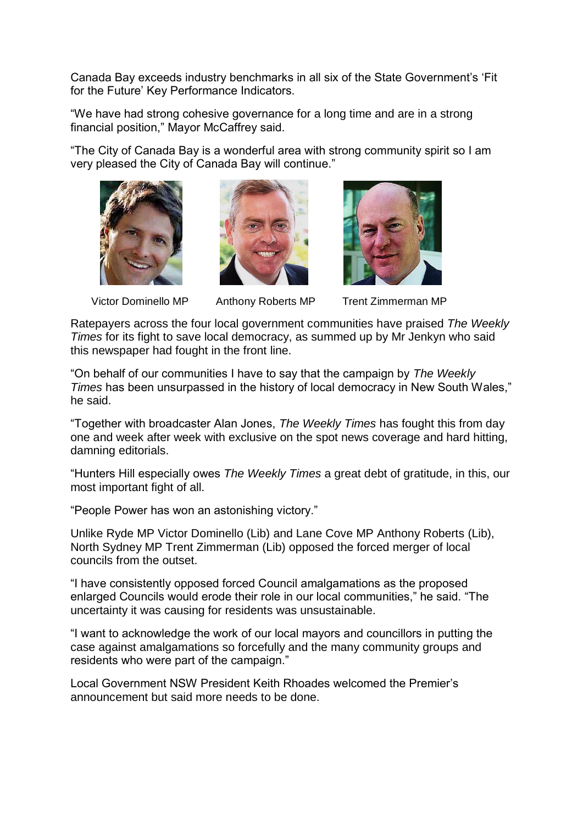Canada Bay exceeds industry benchmarks in all six of the State Government's 'Fit for the Future' Key Performance Indicators.

"We have had strong cohesive governance for a long time and are in a strong financial position," Mayor McCaffrey said.

"The City of Canada Bay is a wonderful area with strong community spirit so I am very pleased the City of Canada Bay will continue."







Victor Dominello MP Anthony Roberts MP Trent Zimmerman MP

Ratepayers across the four local government communities have praised *The Weekly Times* for its fight to save local democracy, as summed up by Mr Jenkyn who said this newspaper had fought in the front line.

"On behalf of our communities I have to say that the campaign by *The Weekly Times* has been unsurpassed in the history of local democracy in New South Wales," he said.

"Together with broadcaster Alan Jones, *The Weekly Times* has fought this from day one and week after week with exclusive on the spot news coverage and hard hitting, damning editorials.

"Hunters Hill especially owes *The Weekly Times* a great debt of gratitude, in this, our most important fight of all.

"People Power has won an astonishing victory."

Unlike Ryde MP Victor Dominello (Lib) and Lane Cove MP Anthony Roberts (Lib), North Sydney MP Trent Zimmerman (Lib) opposed the forced merger of local councils from the outset.

"I have consistently opposed forced Council amalgamations as the proposed enlarged Councils would erode their role in our local communities," he said. "The uncertainty it was causing for residents was unsustainable.

"I want to acknowledge the work of our local mayors and councillors in putting the case against amalgamations so forcefully and the many community groups and residents who were part of the campaign."

Local Government NSW President Keith Rhoades welcomed the Premier's announcement but said more needs to be done.